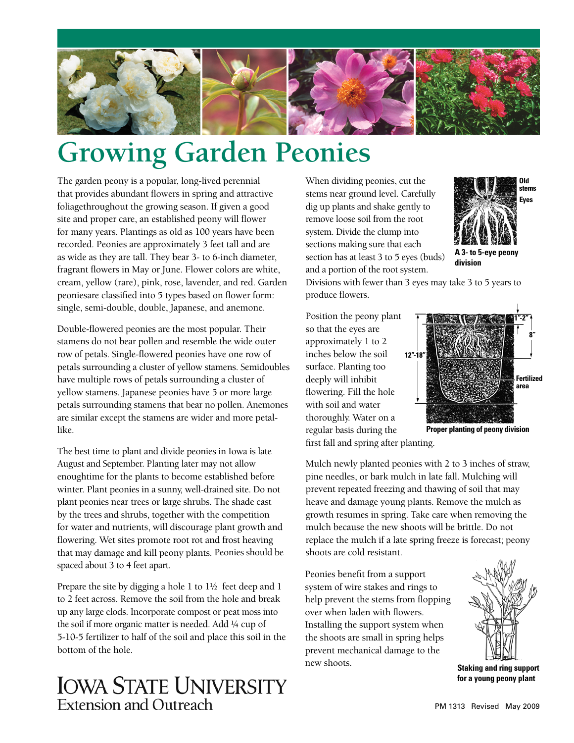

## **Growing Garden Peonies**

The garden peony is a popular, long-lived perennial that provides abundant flowers in spring and attractive foliagethroughout the growing season. If given a good site and proper care, an established peony will flower for many years. Plantings as old as 100 years have been recorded. Peonies are approximately 3 feet tall and are as wide as they are tall. They bear 3- to 6-inch diameter, fragrant flowers in May or June. Flower colors are white, cream, yellow (rare), pink, rose, lavender, and red. Garden peoniesare classified into 5 types based on flower form: single, semi-double, double, Japanese, and anemone.

Double-flowered peonies are the most popular. Their stamens do not bear pollen and resemble the wide outer row of petals. Single-flowered peonies have one row of petals surrounding a cluster of yellow stamens. Semidoubles have multiple rows of petals surrounding a cluster of yellow stamens. Japanese peonies have 5 or more large petals surrounding stamens that bear no pollen. Anemones are similar except the stamens are wider and more petallike.

The best time to plant and divide peonies in Iowa is late August and September. Planting later may not allow enoughtime for the plants to become established before winter. Plant peonies in a sunny, well-drained site. Do not plant peonies near trees or large shrubs. The shade cast by the trees and shrubs, together with the competition for water and nutrients, will discourage plant growth and flowering. Wet sites promote root rot and frost heaving that may damage and kill peony plants. Peonies should be spaced about 3 to 4 feet apart.

Prepare the site by digging a hole 1 to  $1\frac{1}{2}$  feet deep and 1 to 2 feet across. Remove the soil from the hole and break up any large clods. Incorporate compost or peat moss into the soil if more organic matter is needed. Add ¼ cup of 5-10-5 fertilizer to half of the soil and place this soil in the bottom of the hole.

## **IOWA STATE UNIVERSITY Extension and Outreach**

When dividing peonies, cut the stems near ground level. Carefully dig up plants and shake gently to remove loose soil from the root system. Divide the clump into sections making sure that each section has at least 3 to 5 eyes (buds) and a portion of the root system.



Divisions with fewer than 3 eyes may take 3 to 5 years to produce flowers.

Position the peony plant so that the eyes are approximately 1 to 2 inches below the soil surface. Planting too deeply will inhibit flowering. Fill the hole with soil and water thoroughly. Water on a regular basis during the



first fall and spring after planting.

Mulch newly planted peonies with 2 to 3 inches of straw, pine needles, or bark mulch in late fall. Mulching will prevent repeated freezing and thawing of soil that may heave and damage young plants. Remove the mulch as growth resumes in spring. Take care when removing the mulch because the new shoots will be brittle. Do not replace the mulch if a late spring freeze is forecast; peony shoots are cold resistant.

Peonies benefit from a support system of wire stakes and rings to help prevent the stems from flopping over when laden with flowers. Installing the support system when the shoots are small in spring helps prevent mechanical damage to the new shoots.



**Staking and ring support for a young peony plant**